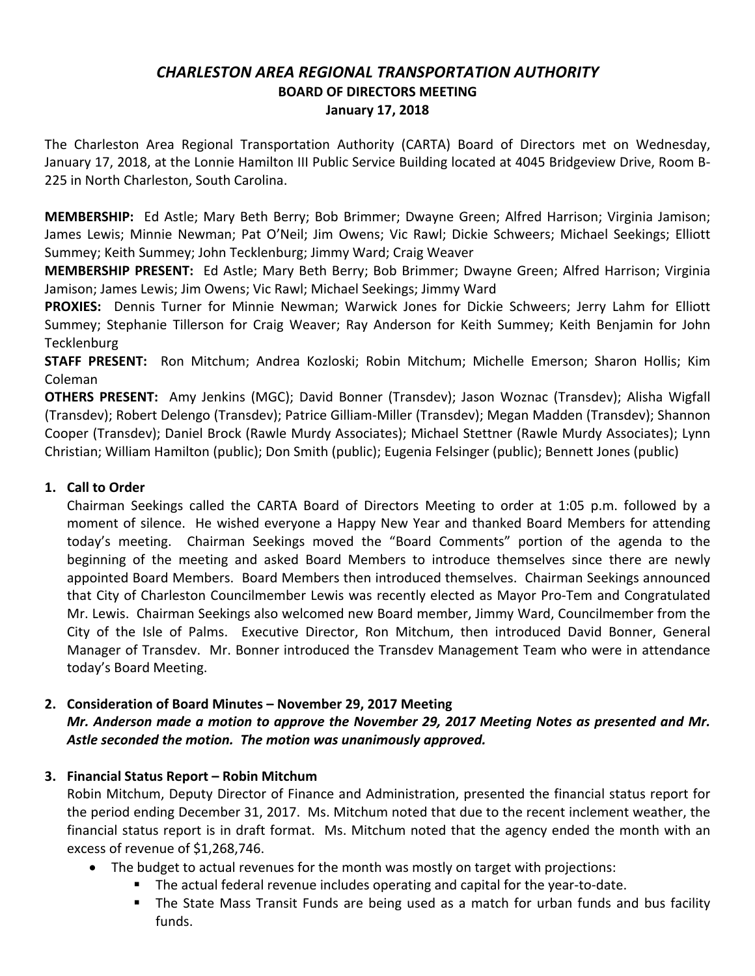### *CHARLESTON AREA REGIONAL TRANSPORTATION AUTHORITY* **BOARD OF DIRECTORS MEETING January 17, 2018**

The Charleston Area Regional Transportation Authority (CARTA) Board of Directors met on Wednesday, January 17, 2018, at the Lonnie Hamilton III Public Service Building located at 4045 Bridgeview Drive, Room B-225 in North Charleston, South Carolina.

**MEMBERSHIP:** Ed Astle; Mary Beth Berry; Bob Brimmer; Dwayne Green; Alfred Harrison; Virginia Jamison; James Lewis; Minnie Newman; Pat O'Neil; Jim Owens; Vic Rawl; Dickie Schweers; Michael Seekings; Elliott Summey; Keith Summey; John Tecklenburg; Jimmy Ward; Craig Weaver

**MEMBERSHIP PRESENT:** Ed Astle; Mary Beth Berry; Bob Brimmer; Dwayne Green; Alfred Harrison; Virginia Jamison; James Lewis; Jim Owens; Vic Rawl; Michael Seekings; Jimmy Ward

**PROXIES:** Dennis Turner for Minnie Newman; Warwick Jones for Dickie Schweers; Jerry Lahm for Elliott Summey; Stephanie Tillerson for Craig Weaver; Ray Anderson for Keith Summey; Keith Benjamin for John **Tecklenburg** 

**STAFF PRESENT:** Ron Mitchum; Andrea Kozloski; Robin Mitchum; Michelle Emerson; Sharon Hollis; Kim Coleman

**OTHERS PRESENT:** Amy Jenkins (MGC); David Bonner (Transdev); Jason Woznac (Transdev); Alisha Wigfall (Transdev); Robert Delengo (Transdev); Patrice Gilliam-Miller (Transdev); Megan Madden (Transdev); Shannon Cooper (Transdev); Daniel Brock (Rawle Murdy Associates); Michael Stettner (Rawle Murdy Associates); Lynn Christian; William Hamilton (public); Don Smith (public); Eugenia Felsinger (public); Bennett Jones (public)

# **1. Call to Order**

Chairman Seekings called the CARTA Board of Directors Meeting to order at 1:05 p.m. followed by a moment of silence. He wished everyone a Happy New Year and thanked Board Members for attending today's meeting. Chairman Seekings moved the "Board Comments" portion of the agenda to the beginning of the meeting and asked Board Members to introduce themselves since there are newly appointed Board Members. Board Members then introduced themselves. Chairman Seekings announced that City of Charleston Councilmember Lewis was recently elected as Mayor Pro-Tem and Congratulated Mr. Lewis. Chairman Seekings also welcomed new Board member, Jimmy Ward, Councilmember from the City of the Isle of Palms. Executive Director, Ron Mitchum, then introduced David Bonner, General Manager of Transdev. Mr. Bonner introduced the Transdev Management Team who were in attendance today's Board Meeting.

#### **2. Consideration of Board Minutes – November 29, 2017 Meeting** *Mr. Anderson made a motion to approve the November 29, 2017 Meeting Notes as presented and Mr. Astle seconded the motion. The motion was unanimously approved.*

# **3. Financial Status Report – Robin Mitchum**

Robin Mitchum, Deputy Director of Finance and Administration, presented the financial status report for the period ending December 31, 2017. Ms. Mitchum noted that due to the recent inclement weather, the financial status report is in draft format. Ms. Mitchum noted that the agency ended the month with an excess of revenue of \$1,268,746.

- The budget to actual revenues for the month was mostly on target with projections:
	- § The actual federal revenue includes operating and capital for the year-to-date.
	- The State Mass Transit Funds are being used as a match for urban funds and bus facility funds.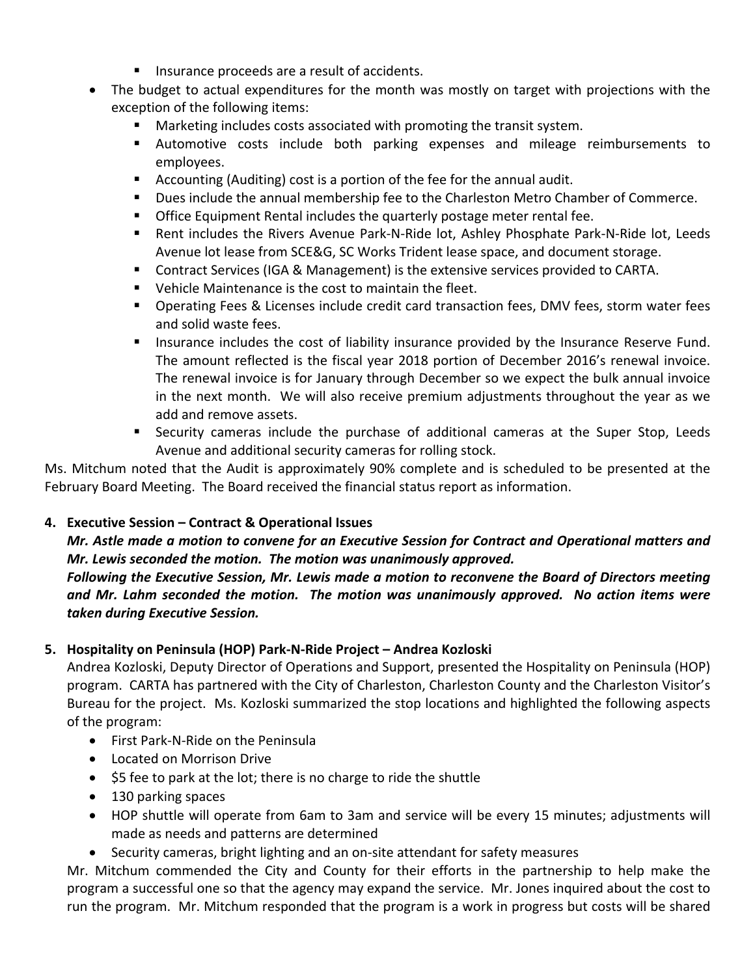- Insurance proceeds are a result of accidents.
- The budget to actual expenditures for the month was mostly on target with projections with the exception of the following items:
	- Marketing includes costs associated with promoting the transit system.
	- § Automotive costs include both parking expenses and mileage reimbursements to employees.
	- Accounting (Auditing) cost is a portion of the fee for the annual audit.
	- § Dues include the annual membership fee to the Charleston Metro Chamber of Commerce.
	- Office Equipment Rental includes the quarterly postage meter rental fee.
	- Rent includes the Rivers Avenue Park-N-Ride lot, Ashley Phosphate Park-N-Ride lot, Leeds Avenue lot lease from SCE&G, SC Works Trident lease space, and document storage.
	- Contract Services (IGA & Management) is the extensive services provided to CARTA.
	- Vehicle Maintenance is the cost to maintain the fleet.
	- Operating Fees & Licenses include credit card transaction fees, DMV fees, storm water fees and solid waste fees.
	- **■** Insurance includes the cost of liability insurance provided by the Insurance Reserve Fund. The amount reflected is the fiscal year 2018 portion of December 2016's renewal invoice. The renewal invoice is for January through December so we expect the bulk annual invoice in the next month. We will also receive premium adjustments throughout the year as we add and remove assets.
	- § Security cameras include the purchase of additional cameras at the Super Stop, Leeds Avenue and additional security cameras for rolling stock.

Ms. Mitchum noted that the Audit is approximately 90% complete and is scheduled to be presented at the February Board Meeting. The Board received the financial status report as information.

# **4. Executive Session – Contract & Operational Issues**

*Mr. Astle made a motion to convene for an Executive Session for Contract and Operational matters and Mr. Lewis seconded the motion. The motion was unanimously approved.*

*Following the Executive Session, Mr. Lewis made a motion to reconvene the Board of Directors meeting and Mr. Lahm seconded the motion. The motion was unanimously approved. No action items were taken during Executive Session.*

# **5. Hospitality on Peninsula (HOP) Park-N-Ride Project – Andrea Kozloski**

Andrea Kozloski, Deputy Director of Operations and Support, presented the Hospitality on Peninsula (HOP) program. CARTA has partnered with the City of Charleston, Charleston County and the Charleston Visitor's Bureau for the project. Ms. Kozloski summarized the stop locations and highlighted the following aspects of the program:

- First Park-N-Ride on the Peninsula
- Located on Morrison Drive
- \$5 fee to park at the lot; there is no charge to ride the shuttle
- 130 parking spaces
- HOP shuttle will operate from 6am to 3am and service will be every 15 minutes; adjustments will made as needs and patterns are determined
- Security cameras, bright lighting and an on-site attendant for safety measures

Mr. Mitchum commended the City and County for their efforts in the partnership to help make the program a successful one so that the agency may expand the service. Mr. Jones inquired about the cost to run the program. Mr. Mitchum responded that the program is a work in progress but costs will be shared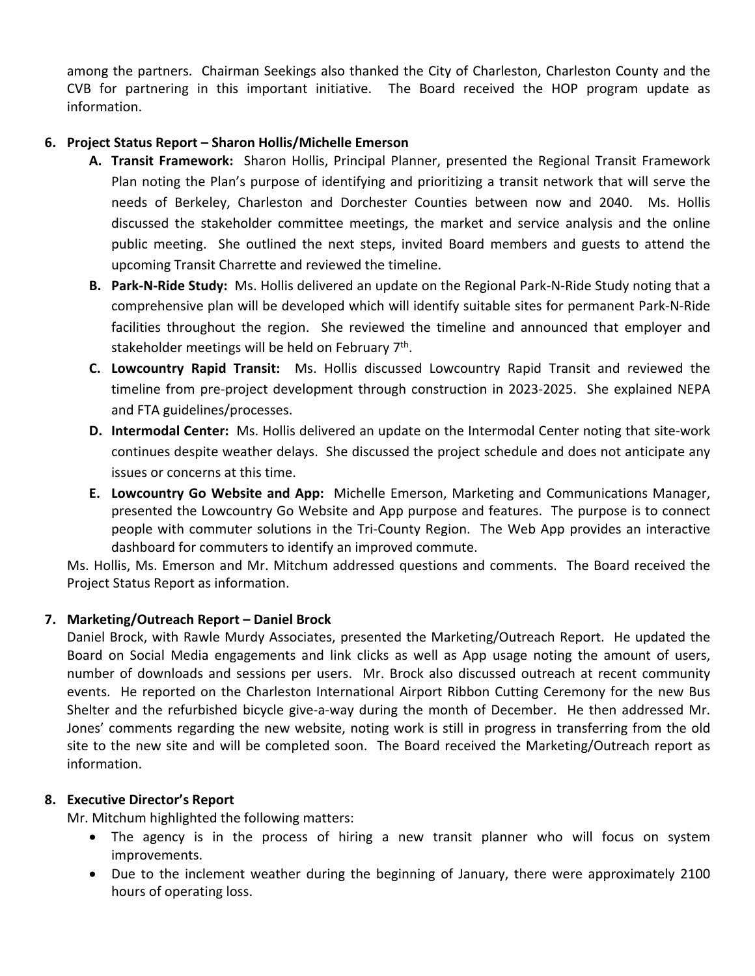among the partners. Chairman Seekings also thanked the City of Charleston, Charleston County and the CVB for partnering in this important initiative. The Board received the HOP program update as information.

### **6. Project Status Report – Sharon Hollis/Michelle Emerson**

- **A. Transit Framework:** Sharon Hollis, Principal Planner, presented the Regional Transit Framework Plan noting the Plan's purpose of identifying and prioritizing a transit network that will serve the needs of Berkeley, Charleston and Dorchester Counties between now and 2040. Ms. Hollis discussed the stakeholder committee meetings, the market and service analysis and the online public meeting. She outlined the next steps, invited Board members and guests to attend the upcoming Transit Charrette and reviewed the timeline.
- **B. Park-N-Ride Study:** Ms. Hollis delivered an update on the Regional Park-N-Ride Study noting that a comprehensive plan will be developed which will identify suitable sites for permanent Park-N-Ride facilities throughout the region. She reviewed the timeline and announced that employer and stakeholder meetings will be held on February 7<sup>th</sup>.
- **C. Lowcountry Rapid Transit:** Ms. Hollis discussed Lowcountry Rapid Transit and reviewed the timeline from pre-project development through construction in 2023-2025. She explained NEPA and FTA guidelines/processes.
- **D. Intermodal Center:** Ms. Hollis delivered an update on the Intermodal Center noting that site-work continues despite weather delays. She discussed the project schedule and does not anticipate any issues or concerns at this time.
- **E. Lowcountry Go Website and App:** Michelle Emerson, Marketing and Communications Manager, presented the Lowcountry Go Website and App purpose and features. The purpose is to connect people with commuter solutions in the Tri-County Region. The Web App provides an interactive dashboard for commuters to identify an improved commute.

Ms. Hollis, Ms. Emerson and Mr. Mitchum addressed questions and comments. The Board received the Project Status Report as information.

# **7. Marketing/Outreach Report – Daniel Brock**

Daniel Brock, with Rawle Murdy Associates, presented the Marketing/Outreach Report. He updated the Board on Social Media engagements and link clicks as well as App usage noting the amount of users, number of downloads and sessions per users. Mr. Brock also discussed outreach at recent community events. He reported on the Charleston International Airport Ribbon Cutting Ceremony for the new Bus Shelter and the refurbished bicycle give-a-way during the month of December. He then addressed Mr. Jones' comments regarding the new website, noting work is still in progress in transferring from the old site to the new site and will be completed soon. The Board received the Marketing/Outreach report as information.

#### **8. Executive Director's Report**

Mr. Mitchum highlighted the following matters:

- The agency is in the process of hiring a new transit planner who will focus on system improvements.
- Due to the inclement weather during the beginning of January, there were approximately 2100 hours of operating loss.